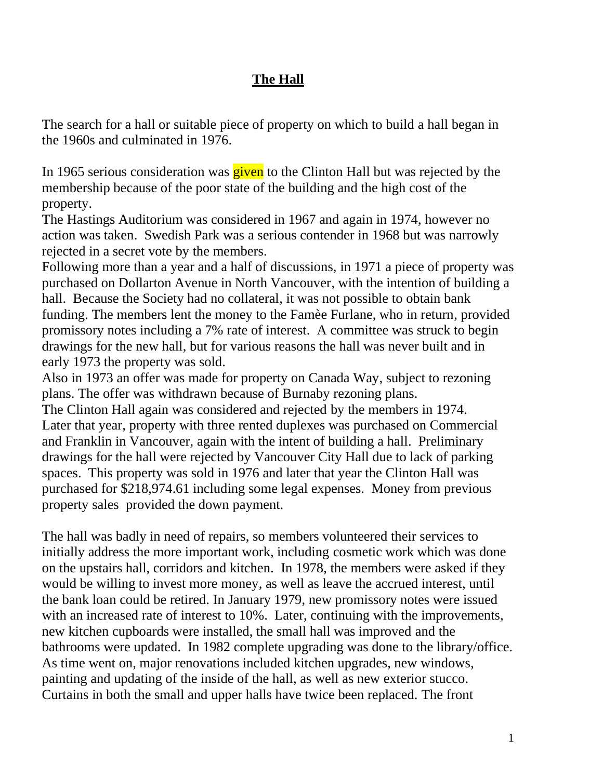## **The Hall**

The search for a hall or suitable piece of property on which to build a hall began in the 1960s and culminated in 1976.

In 1965 serious consideration was **given** to the Clinton Hall but was rejected by the membership because of the poor state of the building and the high cost of the property.

The Hastings Auditorium was considered in 1967 and again in 1974, however no action was taken. Swedish Park was a serious contender in 1968 but was narrowly rejected in a secret vote by the members.

Following more than a year and a half of discussions, in 1971 a piece of property was purchased on Dollarton Avenue in North Vancouver, with the intention of building a hall. Because the Society had no collateral, it was not possible to obtain bank funding. The members lent the money to the Famèe Furlane, who in return, provided promissory notes including a 7% rate of interest. A committee was struck to begin drawings for the new hall, but for various reasons the hall was never built and in early 1973 the property was sold.

Also in 1973 an offer was made for property on Canada Way, subject to rezoning plans. The offer was withdrawn because of Burnaby rezoning plans. The Clinton Hall again was considered and rejected by the members in 1974. Later that year, property with three rented duplexes was purchased on Commercial and Franklin in Vancouver, again with the intent of building a hall. Preliminary drawings for the hall were rejected by Vancouver City Hall due to lack of parking spaces. This property was sold in 1976 and later that year the Clinton Hall was purchased for \$218,974.61 including some legal expenses. Money from previous property sales provided the down payment.

The hall was badly in need of repairs, so members volunteered their services to initially address the more important work, including cosmetic work which was done on the upstairs hall, corridors and kitchen. In 1978, the members were asked if they would be willing to invest more money, as well as leave the accrued interest, until the bank loan could be retired. In January 1979, new promissory notes were issued with an increased rate of interest to 10%. Later, continuing with the improvements, new kitchen cupboards were installed, the small hall was improved and the bathrooms were updated. In 1982 complete upgrading was done to the library/office. As time went on, major renovations included kitchen upgrades, new windows, painting and updating of the inside of the hall, as well as new exterior stucco. Curtains in both the small and upper halls have twice been replaced. The front